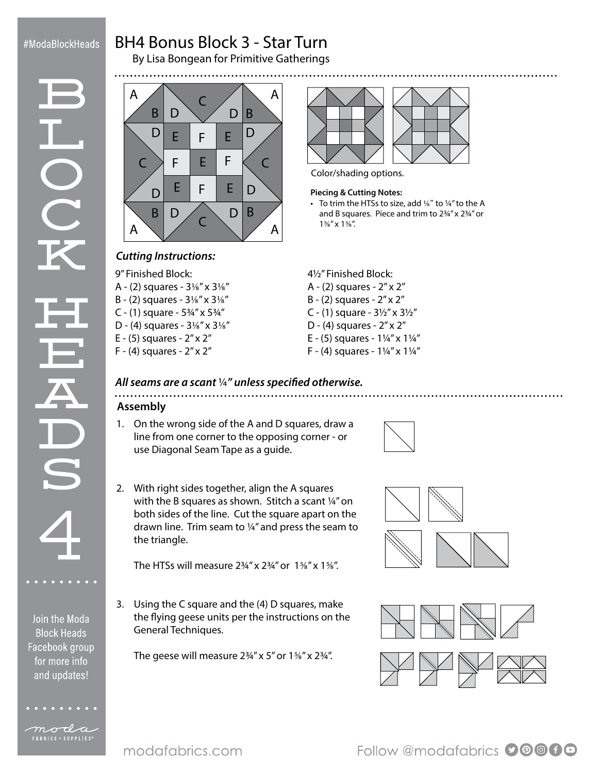## #ModaBlockHeads

Join the Moda **Block Heads** Facebook group for more info and updates!

moda FABRICS + SUPPLIES<sup>®</sup>

# BH4 Bonus Block 3 - Star Turn

By Lisa Bongean for Primitive Gatherings





### *Cutting Instructions:*

9" Finished Block:

- A (2) squares 3⅛" x 3⅛"
- B (2) squares 3⅛" x 3⅛"
- C (1) square 5¾" x 5¾"
- D (4) squares 3⅛" x 3⅛"
- E (5) squares 2" x 2"
- F (4) squares 2" x 2"



Color/shading options.

• To trim the HTSs to size, add 1/8" to 1/4" to the A and B squares. Piece and trim to 2¾" x 2¾" or  $1\frac{5}{8}$ " x  $1\frac{5}{8}$ ".

4½" Finished Block:

- A (2) squares 2" x 2"
- B (2) squares 2" x 2"
- C (1) square  $3\frac{1}{2}$ " x  $3\frac{1}{2}$ "
- D (4) squares 2" x 2"
- E (5) squares 1¼" x 1¼"
- F (4) squares  $1\frac{1}{4}$ " x  $1\frac{1}{4}$ "

### *All seams are a scant* ¼*" unless specified otherwise.*

### **Assembly**

1. On the wrong side of the A and D squares, draw a line from one corner to the opposing corner - or use Diagonal Seam Tape as a guide.



2. With right sides together, align the A squares with the B squares as shown. Stitch a scant ¼" on both sides of the line. Cut the square apart on the drawn line. Trim seam to ¼" and press the seam to the triangle.

The HTSs will measure  $2\frac{3}{4}$ " x  $2\frac{3}{4}$ " or  $1\frac{5}{8}$ " x  $1\frac{5}{8}$ ".

3. Using the C square and the (4) D squares, make the flying geese units per the instructions on the General Techniques.

The geese will measure  $2\frac{3}{4}$ " x 5" or  $1\frac{5}{8}$ " x  $2\frac{3}{4}$ ".